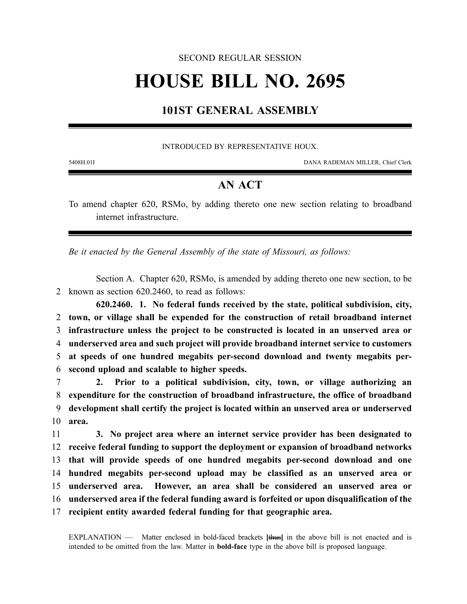### SECOND REGULAR SESSION

# **HOUSE BILL NO. 2695**

## **101ST GENERAL ASSEMBLY**

#### INTRODUCED BY REPRESENTATIVE HOUX.

5408H.01I DANA RADEMAN MILLER, Chief Clerk

## **AN ACT**

To amend chapter 620, RSMo, by adding thereto one new section relating to broadband internet infrastructure.

*Be it enacted by the General Assembly of the state of Missouri, as follows:*

Section A. Chapter 620, RSMo, is amended by adding thereto one new section, to be 2 known as section 620.2460, to read as follows:

**620.2460. 1. No federal funds received by the state, political subdivision, city, town, or village shall be expended for the construction of retail broadband internet infrastructure unless the project to be constructed is located in an unserved area or underserved area and such project will provide broadband internet service to customers at speeds of one hundred megabits per-second download and twenty megabits per-second upload and scalable to higher speeds.**

 **2. Prior to a political subdivision, city, town, or village authorizing an expenditure for the construction of broadband infrastructure, the office of broadband development shall certify the project is located within an unserved area or underserved** 10 **area.**

 **3. No project area where an internet service provider has been designated to receive federal funding to support the deployment or expansion of broadband networks that will provide speeds of one hundred megabits per-second download and one hundred megabits per-second upload may be classified as an unserved area or underserved area. However, an area shall be considered an unserved area or underserved area if the federal funding award is forfeited or upon disqualification of the recipient entity awarded federal funding for that geographic area.**

EXPLANATION — Matter enclosed in bold-faced brackets **[**thus**]** in the above bill is not enacted and is intended to be omitted from the law. Matter in **bold-face** type in the above bill is proposed language.